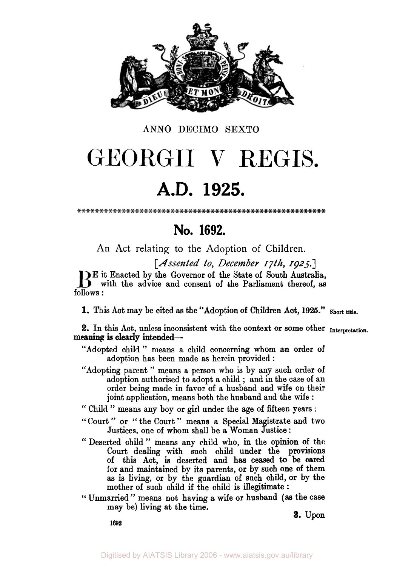

**ANN0 DECIMO** SEXTO

# GEORGII V REGIS.

## **A.D. 1925.**

## **No. 1692.**

An Act relating to the Adoption of Children.

*[Assented to, December 17th 1925.]* 

**E** it Enacted by the Governor of the State of South Australia,<br>
with the advice and consent of the Parliament thereof, as follows :

**1.** This Act may be cited as the "Adoption **of** Children Act, **1926." Short title.** 

**2.** In this Act, unless inconsistent with the context **or** some other **Interpretetion.**  meaning is clearly intended-

"Adopted child " means a child concerning whom **an** order **of**  adoption has been made as herein provided :

"Adopting parent " means a person who is by any such order **of**  adoption authorised to adopt a child ; and in the case **of** an order being made in favor of a husband and wife **on** their joint application, means both the husband and the wife :

" Child " means any boy or **girl** under the age **of** fifteen years :

- "Court" or "the Court" means a Special Magistrate and two Justices, one of whom shall be a Woman Justice :
- " Deserted child " means any child who, in the opinion **of** the Court dealing with such child under the provisions of this Act, is deserted and has **ceased to** be cared for and maintained by its parents, **or by** such one of them as is living, or by the guardian **of** such child, **or** by the mother of such child if the child is illegitimate :
- **"** Unmarried" means not having a wife **or** husband *(as* the case may be) living at the time.

*3.* **Upon** 

**1692**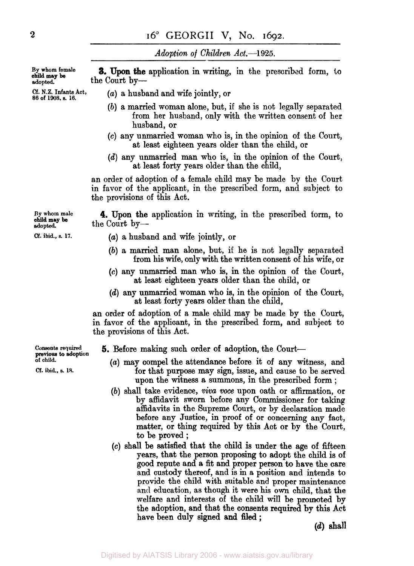*Adoption of Children Act.--l925.* 

**adopted.** the Court **by-3.** Upon the application in writing, in the prescribed form, to

**By whom male** 

**By whom female** 

- *cf.* **N.Z. Infants Act,** *(a)* a husband and wife jointly, or **86 of 1908.** *s. 16.* 
	- *(b)* a married woman alone, but, if she is not legally separated from her husband, only with the written consent of her husband, or
	- **(c)** any unmarried woman who is, in the opinion of the Court, at least eighteen years older than the child, or
	- *(d)* any unmarried man who is, in the opinion of the Court, at least forty years older than the child,

**an** order **of** adoption of a female child may be made **by** the Court in favor of the applicant, in the prescribed form, and subject to the provisions **of** this Act.

adopted. **the Court by— 4.** Upon the application in writing, in the prescribed form, to

- $Cf.$  **ibid., s. 17.**  $(a)$  a husband and wife jointly, or
	- *(b)* a married man alone, but, if he is not legally separated **from** his wife, **only** with the written consent **of** his wife, or
	- **(c)** any unmarried man **who is, in** the opinion of the Court, at least eighteen years older than the child, **or**
	- *(d)* any unmarried **woman** who is, in the opinion **of** the Court, at least forty years older than the child,

an order of adoption of a male child may be made by the Court, in favor of the applicant, in the prescribed form, and subject to the provisions of this Act.

**5.** Before making such order of adoption, the Court-

- *(a)* may compel the attendance before it **of** any witness, and for that purpose **may** sign, issue, and cause to be served upon the witness a summons, in the prescribed form ;
- *(b)* shall take evidence, *viva* voce upon oath or affirmation, or by affidavit sworn before any Commissioner for taking affidavits in the Supreme Court, or by declaration made before any Justice, in proof of or concerning any fact, matter, or thing required by this Act **or by** the Court, to be proved ;
- **(c)** shall be satisfied that the child is under the age of fifteen years, that the person proposing to adopt the child is of good repute and a fit and proper person to have the care and custody thereof, and is **in** a position and intends to provide the child with suitable and proper maintenance and education, as though it were his own child, that **the**  welfare and interests of the child will be promoted by the adoption, and that the consents required by this Act have been duly signed **and filed** ;

*(d)* shall

**Consents required of child.** 

*Cf.* **ibid.,** *s.* **18.**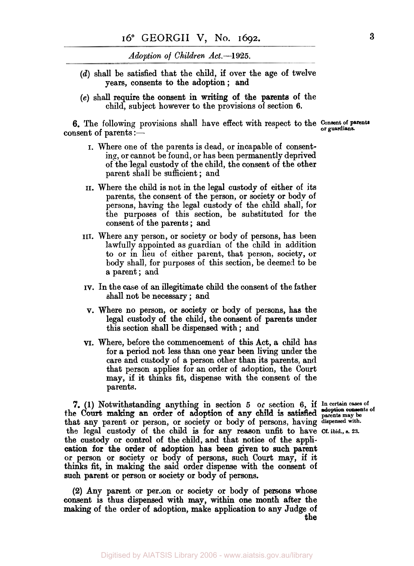*Adoption of Children Act.--1925.* 

- *(d)* shall be satisfied that the child, if over the age of twelve years, consents to the adoption ; and
- **(e)** shall require the consent in writing of the parents of the child, subject however to the provisions of section *6.*

**6.** The following provisions shall have effect with respect to the **Consent of parents** consent of parents : $-$ 

- I. Where one of the parents is dead, or incapable of consenting, or cannot be found, or has been permanently deprived of the legal custody of the child, the consent of the other parent shall be sufficient ; and
- II. Where the child is not in the legal custody of either of its parents, the consent of the person, or society or body of persons, having the legal custody of the child shall, for the purposes of this section, be substituted for the consent of the parents ; and
- III. Where any person, or society or body of persons, has been lawfully appointed as guardian of the child in addition to or in lieu of either parent, that person, society, or body shall, for purposes of this section, be deemed to be a parent; and
- IV. In the case of an illegitimate child the consent of the father shall not be necessary ; and
- v. Where **no** person, or society or **body** of persons, has the legal custody of the child, the consent of parents under this section shall be dispensed with ; and
- VI. Where, before the commencement of this Act, a child has for a period not less than one year been living under the care and custody of a person other than its parents, and that person applies for an order of adoption, the Court may, if it thinks fit, dispense with the consent of the parents.

**7.** (1) Notwithstanding anything in section *5* **or** section 6, if **In certain cases of adoption consents of**  the Court making an order of adoption of any child is satisfied **parents may** be that any parent or person, or society or body of persons, having **dispensed with.**  the legal custody of the child **is** for any **reason** unfit to have **Cf. ibid., s. 23.**  the custody **or** control of the child, and that notice of the application for the order of adoption has been given to such parent thinks fit, in **making** the said order dispense with the consent of such parent or **person** or society or body of **persons.**  or person or society **or** body of persons, such Court may, if it

**(2)** Any parent or person or society or body of **persons** whose consent is thus dispensed with **map,** within one month after the making of the order of adoption, make application to **any** Judge of **the**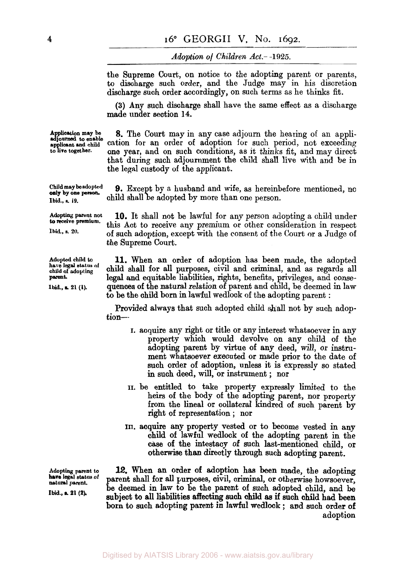*Adoption of Children Act.-1925.* 

the Supreme Court, on notice to the adopting parent or parents, to discharge such order, and the Judge may in his discretion discharge such order accordingly, on such terms as he thinks fit.

**(3)** Any such discharge shall have the same effect as a discharge made under section **14.** 

Application may be **8.** The Court may in any case adjourn the hearing of an appli-<br>adjourned to enable cation for an order of adoption for such period, not exceeding adjourned to enable cation for an order of adoption for such period, not exceeding<br>
applicant and child conditions as it thinks fit, and may direct one year, and on such conditions, as it thinks fit, and may direct that during such adjournment the child shall live with and be in the legal cistody of the applicant.

**9.** Except by a husband and wife, as hereinbefore mentioned, no child shall be adopted by more than one person.

**10.** It shall not be lawful for any person adopting a child under this Act to receive any premium or other consideration in respect of such adoption, except with the consent of the Court or a Judge of the Supreme Court.

**11.** When an order of adoption has been made, the adopted child **shall** for all purposes, civil and criminal, and as regards all legal and equitable Liabilities, rights, benefits, privileges, and consequences of the natural relation of parent and child, be deemed in law to be the child born **in** lawful wedlock of the adopting parent :

Provided always that such adopted child shall not by such adoption-

- **I.** acquire any right or title or any interest whatsoever in any property which would devolve on any child of the adopting parent by virtue of any deed, will, or instrument whatsoever executed or made prior to the date of such order of adoption, unless it is expressly so stated in such deed, will, or instrument ; nor
- **II.** be entitled to take property expressly limited to the heirs of the body of the adopting parent, nor property from the lineal or collateral kindred of such parent by right of representation ; nor
- III. **acquire** any property vested or to become vested in any child of lawful wedlock of the adopting parent in the **case** of the intestacy of such last-mentioned child, or otherwise than directly through such adopting parent.

Adopting parent to **12.** When an order of adoption has been made, the adopting have legal status of narent shall for all nurmoses givil criminal or otherwise hourses. **naturel legal parent. status of** parent shall for **all** purposes, civil, criminal, or otherwise howsoever, be deemed in law to be the parent of such adopted child, and be subject to all liabilities affecting such child as if such child had been **Ibid., s. 21 (2).**  born to such adopting parent in lawful wedlock ; and such order of adoption

**Child may be adopted Ibid., a 19.** 

**Adopting parent not to receive premium.** 

**Ibid.,** *s. 20.* 

**Adopted child to child of adopting have legal status of parent** 

**ibid, 21 (1).**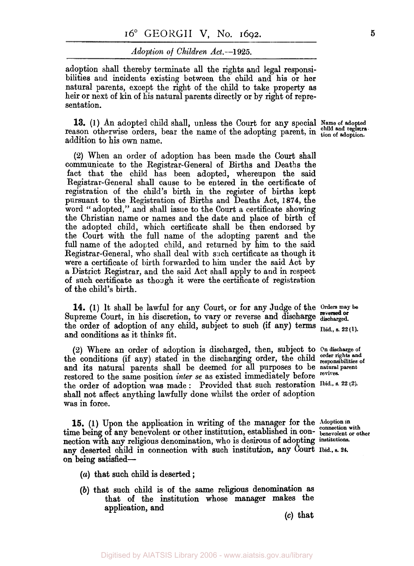#### *Adoption of Children* **Act.--1925.**

adoption shall thereby terminate all the rights and legal responsibilities and incidents existing between the child and his or her natural parents, except the right of the child to take property as heir or next of **kin** of his natural parents directly or by right of representation.

**13.** (1) An adopted child shall, unless the Court for any special Name of adopted reason otherwise orders, bear the name of the adopting parent, in the adoption. addition to his own name.

**(2)** When an order of adoption has been made the **Court** shall communicate to the Registrar-General of Births and Deaths the fact that the child has been adopted, whereupon the said Registrar-General shall cause to be entered in the certificate of registration of the child's birth in the register of births kept pursuant to the Registration of Births and Deaths Act, **1874,** the word " adopted," and shall issue to the Court a certificate showing the Christian name or names and the date and place **of** birth **of**  the adopted child, which certificate shall be then endorsed by the Court with the full name of the adopting parent and the full name of the adopted child, and returned by him to the said Registrar-General, who shall deal with such certificate as though it were a certificate of birth forwarded to him under the said Act by a District Registrar, and the said Act shall apply to and in respect of such certificate as though it were the certificate of registration of the child's birth.

**14. (1)** It shall be lawful for any Court, or for any Judge of the **orders may**  Supreme Court, in his discretion, to vary or reverse and discharge discharged. the order of adoption of any child, subject to such (if any) terms  $\overline{I_{\text{bid., s. 22 (1)}}$ and conditions as it thinks fit.

*(2)* Where an order of adoption is discharged, then, subject to **On discharge of**  the conditions (if any) stated in the discharging order, the child **order rights and responsibilities of**  and its natural parents shall be deemed for all purposes to be natural parent restored to the same position *inter* 20.88 aviated immediately before revives. restored to the same position *inter se* as existed immediately before the order of adoption was made : Provided that such restoration **Ibid., s. 22 (2).**  shall not affect anything lawfully done whilst the order of adoption was in force.

15. (1) Upon the application in writing of the manager for the Adoption in time being of any benevolent or other institution, established in con- benevolent or other poetion with any religious densities of  $\overline{a}$ nection with any religious denomination, who is desirous of adopting **institutions. any** deserted child in connection with such instituticm, **any** Court **Ibid. s. 24 on** being satisied-

- *(a)* that such child is deserted ;
- *(b)* that such child is of the same **religious** denomination **as**  that **of** the institution whose manager makes the application, and

*(c)* that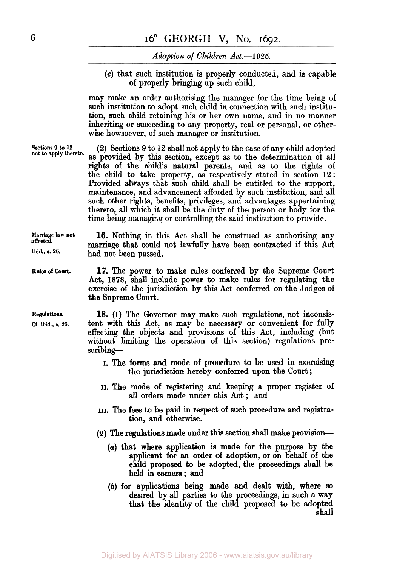### *Adoption of Children Act.-1925.*

*(c)* that such institution is properly conducted, and is capable of properly bringing up such child,

may make **an** order authorising the manager for the time being of such institution to adopt such child in connection with such institution, such child retaining his or her own name, and in no manner inheriting or succeeding to any property, real or personal, or otherwise howsoever, of such manager or institution.

**Sections 9** *to* **12 (2)** Sections **9** to 12 shall not apply to the case of any child adopted as provided by this section, except as to the determination of all rights of the child's natural parents, and as to the rights of the child to take property, as respectively stated in section 12: Provided always that such child shall be entitled to the support, maintenance, and advancement afforded by such institution, and all such other rights, benefits, privileges, and advantages appertaining thereto. all which it shall be the duty of the person or body for the **not to apply thereto.**  time being managing or controlling the said istitution to provide.

**Marriage law not 16.** Nothing in this Act shall be construed as authorising any marriage that could not lawfully have been contracted if this Act had not been passed.

**Rules of Court. 17.** The power to make rules conferred by the Supreme Court Act, *1878,* shall include power to make rules for regulating the exercise of the jurisdiction by this Act conferred on the Judges of the Supreme Court.

> **18. (1)** The Governor may make such regulations, not inconsistent with this Act, as may be necessary or convenient for fully effecting the objects and provisions of this Act, including (but without limiting the operation of this section) regulations prescribing-

- I. The forms and mode of procedure to be used in exercising the jurisdiction hereby conferred upon the Court ;
- **II.** "he mode of registering and keeping a proper register of all orders made under this Act ; and
- **III.** The fees to be paid in respect of such procedure and registration, and otherwise.
- **(2)** The regulations made under this section shall make provision-
	- *(a)* that where application is made for the purpose by the applicant for an order of adoption, or on behalf of the child proposed to be adopted, the proceedings shall be held in camera; and
	- (b) for applications being made and dealt with, where *so*  desired by all parties to the proceedings, in such **a** way that the identity of the child proposed to be adopted **shall**

**affected. Ibid.. s. 20.** 

**Regulations.**  *Cf.* **ibid., s. 25.**